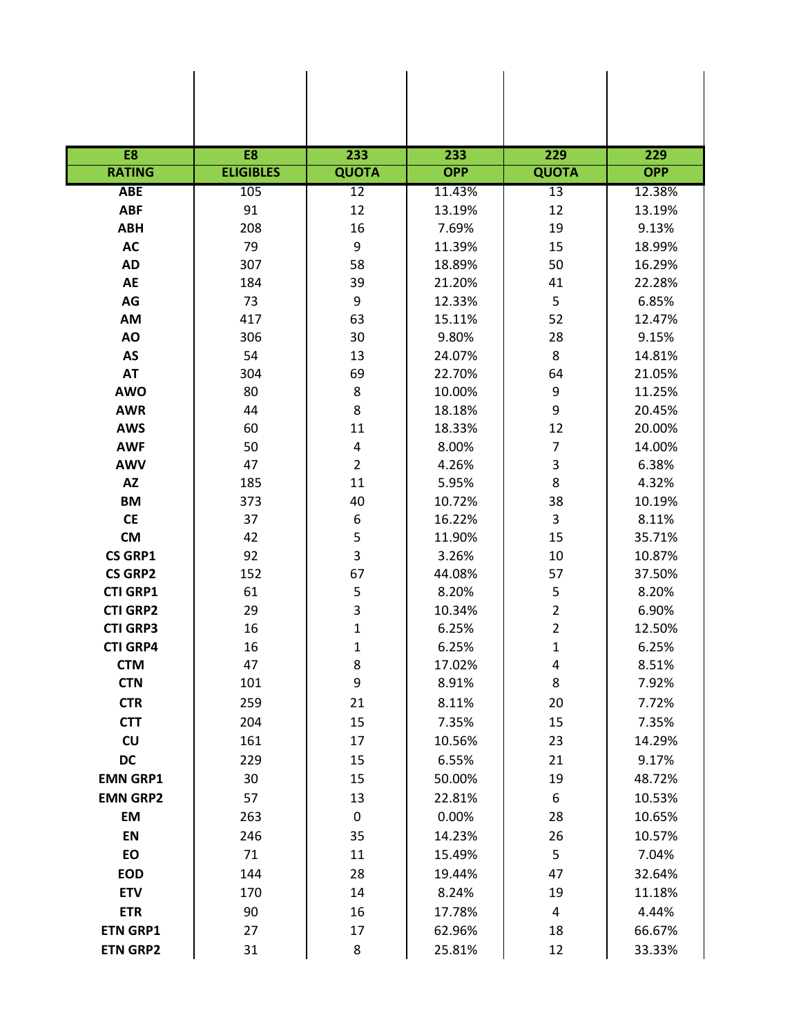| E <sub>8</sub>  | E <sub>8</sub>   | 233            | 233        | 229            | 229        |
|-----------------|------------------|----------------|------------|----------------|------------|
| <b>RATING</b>   | <b>ELIGIBLES</b> | <b>QUOTA</b>   | <b>OPP</b> | <b>QUOTA</b>   | <b>OPP</b> |
| <b>ABE</b>      | 105              | 12             | 11.43%     | 13             | 12.38%     |
| <b>ABF</b>      | 91               | 12             | 13.19%     | 12             | 13.19%     |
| <b>ABH</b>      | 208              | 16             | 7.69%      | 19             | 9.13%      |
| <b>AC</b>       | 79               | 9              | 11.39%     | 15             | 18.99%     |
| <b>AD</b>       | 307              | 58             | 18.89%     | 50             | 16.29%     |
| AE              | 184              | 39             | 21.20%     | 41             | 22.28%     |
| AG              | 73               | 9              | 12.33%     | 5              | 6.85%      |
| AM              | 417              | 63             | 15.11%     | 52             | 12.47%     |
| AO              | 306              | 30             | 9.80%      | 28             | 9.15%      |
| AS              | 54               | 13             | 24.07%     | 8              | 14.81%     |
| <b>AT</b>       | 304              | 69             | 22.70%     | 64             | 21.05%     |
| <b>AWO</b>      | 80               | $\bf 8$        | 10.00%     | 9              | 11.25%     |
| <b>AWR</b>      | 44               | 8              | 18.18%     | 9              | 20.45%     |
| <b>AWS</b>      | 60               | 11             | 18.33%     | 12             | 20.00%     |
| <b>AWF</b>      | 50               | $\pmb{4}$      | 8.00%      | $\overline{7}$ | 14.00%     |
| <b>AWV</b>      | 47               | $\overline{2}$ | 4.26%      | 3              | 6.38%      |
| <b>AZ</b>       | 185              | 11             | 5.95%      | 8              | 4.32%      |
| <b>BM</b>       | 373              | 40             | 10.72%     | 38             | 10.19%     |
| <b>CE</b>       | 37               | 6              | 16.22%     | 3              | 8.11%      |
| <b>CM</b>       | 42               | 5              | 11.90%     | 15             | 35.71%     |
| <b>CS GRP1</b>  | 92               | 3              | 3.26%      | 10             | 10.87%     |
| <b>CS GRP2</b>  | 152              | 67             | 44.08%     | 57             | 37.50%     |
| <b>CTI GRP1</b> | 61               | 5              | 8.20%      | 5              | 8.20%      |
| <b>CTI GRP2</b> | 29               | 3              | 10.34%     | $\overline{2}$ | 6.90%      |
| <b>CTI GRP3</b> | 16               | $\mathbf 1$    | 6.25%      | $\overline{2}$ | 12.50%     |
| <b>CTI GRP4</b> | 16               | 1              | 6.25%      | $\mathbf{1}$   | 6.25%      |
| <b>CTM</b>      | 47               | 8              | 17.02%     | 4              | 8.51%      |
| <b>CTN</b>      | 101              | 9              | 8.91%      | 8              | 7.92%      |
| <b>CTR</b>      | 259              | 21             | 8.11%      | 20             | 7.72%      |
| <b>CTT</b>      | 204              | 15             | 7.35%      | 15             | 7.35%      |
| CU              | 161              | 17             | 10.56%     | 23             | 14.29%     |
| DC              | 229              | 15             | 6.55%      | 21             | 9.17%      |
| <b>EMN GRP1</b> | 30               | 15             | 50.00%     | 19             | 48.72%     |
| <b>EMN GRP2</b> | 57               | 13             | 22.81%     | 6              | 10.53%     |
| EM              | 263              | $\pmb{0}$      | 0.00%      | 28             | 10.65%     |
| EN              | 246              | 35             | 14.23%     | 26             | 10.57%     |
| EO              | 71               | 11             | 15.49%     | 5              | 7.04%      |
| <b>EOD</b>      | 144              | 28             | 19.44%     | 47             | 32.64%     |
| <b>ETV</b>      | 170              | 14             | 8.24%      | 19             | 11.18%     |
| <b>ETR</b>      | 90               | 16             | 17.78%     | $\overline{4}$ | 4.44%      |
| <b>ETN GRP1</b> | 27               | 17             | 62.96%     | 18             | 66.67%     |
| <b>ETN GRP2</b> | 31               | 8              | 25.81%     | 12             | 33.33%     |